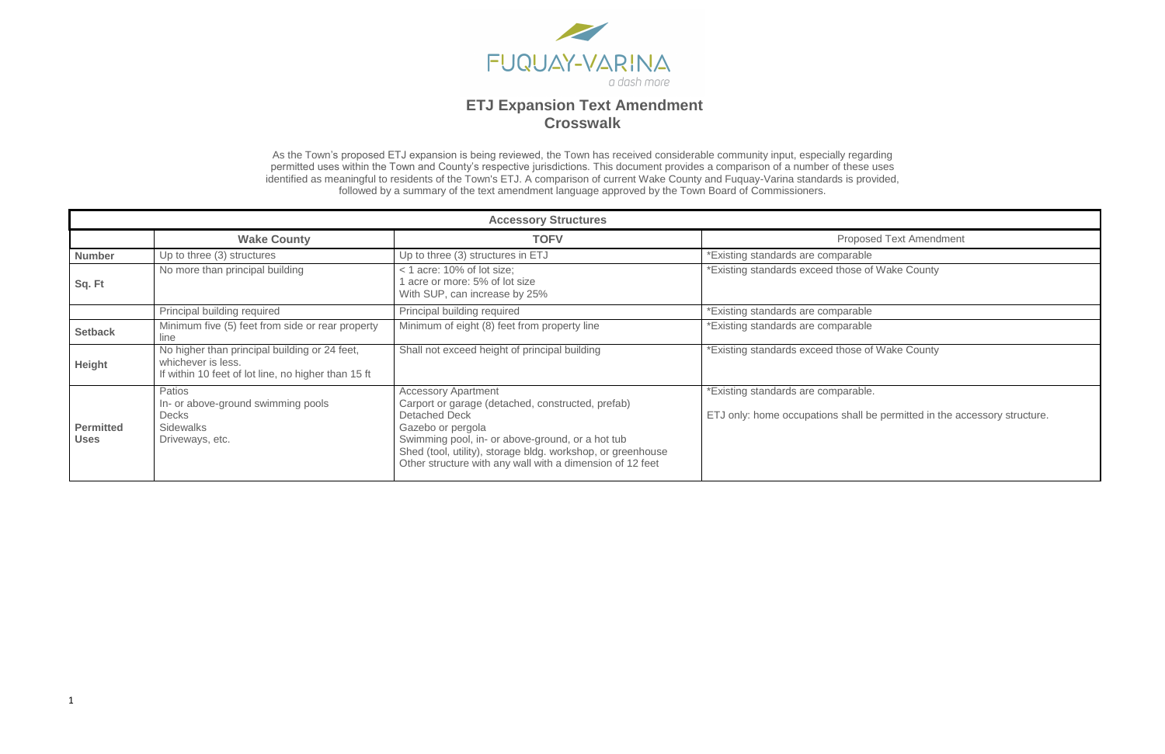

As the Town's proposed ETJ expansion is being reviewed, the Town has received considerable community input, especially regarding permitted uses within the Town and County's respective jurisdictions. This document provides a comparison of a number of these uses identified as meaningful to residents of the Town's ETJ. A comparison of current Wake County and Fuquay-Varina standards is provided, followed by a summary of the text amendment language approved by the Town Board of Commissioners.

**Posed Text Amendment** 

se of Wake County

se of Wake County

able.

all be permitted in the accessory structure.

|                                 | <b>Accessory Structures</b>                                                                                                |                                                                                                                                                                                                                                                                                                              |                                                                          |
|---------------------------------|----------------------------------------------------------------------------------------------------------------------------|--------------------------------------------------------------------------------------------------------------------------------------------------------------------------------------------------------------------------------------------------------------------------------------------------------------|--------------------------------------------------------------------------|
|                                 | <b>Wake County</b>                                                                                                         | <b>TOFV</b>                                                                                                                                                                                                                                                                                                  | Propos                                                                   |
| <b>Number</b>                   | Up to three (3) structures                                                                                                 | Up to three (3) structures in ETJ                                                                                                                                                                                                                                                                            | *Existing standards are comparable                                       |
| Sq. Ft                          | No more than principal building                                                                                            | $<$ 1 acre: 10% of lot size;<br>acre or more: 5% of lot size<br>With SUP, can increase by 25%                                                                                                                                                                                                                | *Existing standards exceed those of                                      |
|                                 | Principal building required                                                                                                | Principal building required                                                                                                                                                                                                                                                                                  | *Existing standards are comparable                                       |
| <b>Setback</b>                  | Minimum five (5) feet from side or rear property<br>line                                                                   | Minimum of eight (8) feet from property line                                                                                                                                                                                                                                                                 | *Existing standards are comparable                                       |
| Height                          | No higher than principal building or 24 feet,<br>whichever is less.<br>If within 10 feet of lot line, no higher than 15 ft | Shall not exceed height of principal building                                                                                                                                                                                                                                                                | *Existing standards exceed those of                                      |
| <b>Permitted</b><br><b>Uses</b> | Patios<br>In- or above-ground swimming pools<br><b>Decks</b><br><b>Sidewalks</b><br>Driveways, etc.                        | <b>Accessory Apartment</b><br>Carport or garage (detached, constructed, prefab)<br><b>Detached Deck</b><br>Gazebo or pergola<br>Swimming pool, in- or above-ground, or a hot tub<br>Shed (tool, utility), storage bldg. workshop, or greenhouse<br>Other structure with any wall with a dimension of 12 feet | *Existing standards are comparable<br>ETJ only: home occupations shall b |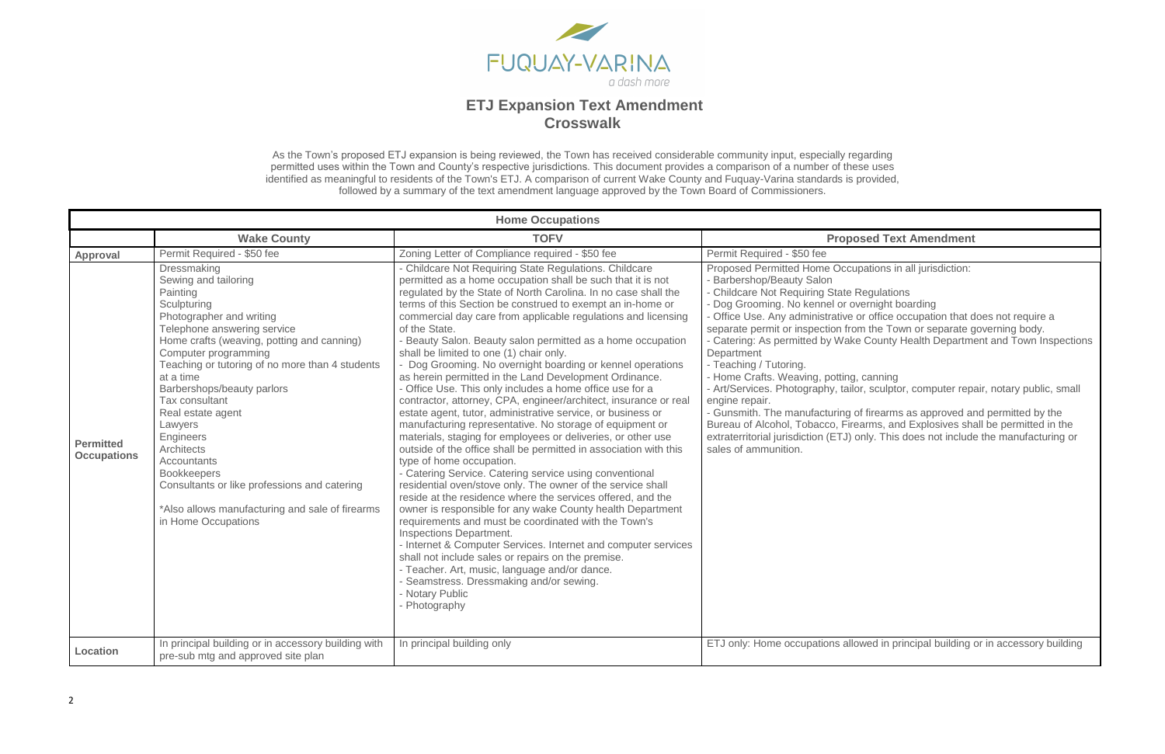

As the Town's proposed ETJ expansion is being reviewed, the Town has received considerable community input, especially regarding permitted uses within the Town and County's respective jurisdictions. This document provides a comparison of a number of these uses identified as meaningful to residents of the Town's ETJ. A comparison of current Wake County and Fuquay-Varina standards is provided, followed by a summary of the text amendment language approved by the Town Board of Commissioners.

### **Wake Text Amendment**

pations in all jurisdiction:

Regulations

vernight boarding

or office occupation that does not require a

om the Town or separate governing body.

e County Health Department and Town Inspections

canning or, sculptor, computer repair, notary public, small

of firearms as approved and permitted by the earms, and Explosives shall be permitted in the only. This does not include the manufacturing or

bwed in principal building or in accessory building

|                                        |                                                                                                                                                                                                                                                                                                                                                                                                                                                                                                                                                                | <b>Home Occupations</b>                                                                                                                                                                                                                                                                                                                                                                                                                                                                                                                                                                                                                                                                                                                                                                                                                                                                                                                                                                                                                                                                                                                                                                                                                                                                                                                                                                                                                                                                                                                                                                                  |                                                                                                                                                                                                                                                                                                                                                                                                                                                                                                                                   |
|----------------------------------------|----------------------------------------------------------------------------------------------------------------------------------------------------------------------------------------------------------------------------------------------------------------------------------------------------------------------------------------------------------------------------------------------------------------------------------------------------------------------------------------------------------------------------------------------------------------|----------------------------------------------------------------------------------------------------------------------------------------------------------------------------------------------------------------------------------------------------------------------------------------------------------------------------------------------------------------------------------------------------------------------------------------------------------------------------------------------------------------------------------------------------------------------------------------------------------------------------------------------------------------------------------------------------------------------------------------------------------------------------------------------------------------------------------------------------------------------------------------------------------------------------------------------------------------------------------------------------------------------------------------------------------------------------------------------------------------------------------------------------------------------------------------------------------------------------------------------------------------------------------------------------------------------------------------------------------------------------------------------------------------------------------------------------------------------------------------------------------------------------------------------------------------------------------------------------------|-----------------------------------------------------------------------------------------------------------------------------------------------------------------------------------------------------------------------------------------------------------------------------------------------------------------------------------------------------------------------------------------------------------------------------------------------------------------------------------------------------------------------------------|
|                                        | <b>Wake County</b>                                                                                                                                                                                                                                                                                                                                                                                                                                                                                                                                             | <b>TOFV</b>                                                                                                                                                                                                                                                                                                                                                                                                                                                                                                                                                                                                                                                                                                                                                                                                                                                                                                                                                                                                                                                                                                                                                                                                                                                                                                                                                                                                                                                                                                                                                                                              | Propo                                                                                                                                                                                                                                                                                                                                                                                                                                                                                                                             |
| <b>Approval</b>                        | Permit Required - \$50 fee                                                                                                                                                                                                                                                                                                                                                                                                                                                                                                                                     | Zoning Letter of Compliance required - \$50 fee                                                                                                                                                                                                                                                                                                                                                                                                                                                                                                                                                                                                                                                                                                                                                                                                                                                                                                                                                                                                                                                                                                                                                                                                                                                                                                                                                                                                                                                                                                                                                          | Permit Required - \$50 fee                                                                                                                                                                                                                                                                                                                                                                                                                                                                                                        |
| <b>Permitted</b><br><b>Occupations</b> | Dressmaking<br>Sewing and tailoring<br>Painting<br>Sculpturing<br>Photographer and writing<br>Telephone answering service<br>Home crafts (weaving, potting and canning)<br>Computer programming<br>Teaching or tutoring of no more than 4 students<br>at a time<br>Barbershops/beauty parlors<br>Tax consultant<br>Real estate agent<br>Lawyers<br><b>Engineers</b><br><b>Architects</b><br><b>Accountants</b><br><b>Bookkeepers</b><br>Consultants or like professions and catering<br>*Also allows manufacturing and sale of firearms<br>in Home Occupations | - Childcare Not Requiring State Regulations. Childcare<br>permitted as a home occupation shall be such that it is not<br>regulated by the State of North Carolina. In no case shall the<br>terms of this Section be construed to exempt an in-home or<br>commercial day care from applicable regulations and licensing<br>of the State.<br>- Beauty Salon. Beauty salon permitted as a home occupation<br>shall be limited to one (1) chair only.<br>- Dog Grooming. No overnight boarding or kennel operations<br>as herein permitted in the Land Development Ordinance.<br>- Office Use. This only includes a home office use for a<br>contractor, attorney, CPA, engineer/architect, insurance or real<br>estate agent, tutor, administrative service, or business or<br>manufacturing representative. No storage of equipment or<br>materials, staging for employees or deliveries, or other use<br>outside of the office shall be permitted in association with this<br>type of home occupation.<br>- Catering Service. Catering service using conventional<br>residential oven/stove only. The owner of the service shall<br>reside at the residence where the services offered, and the<br>owner is responsible for any wake County health Department<br>requirements and must be coordinated with the Town's<br>Inspections Department.<br>- Internet & Computer Services. Internet and computer services<br>shall not include sales or repairs on the premise.<br>- Teacher. Art, music, language and/or dance.<br>- Seamstress. Dressmaking and/or sewing.<br>- Notary Public<br>- Photography | <b>Proposed Permitted Home Occu</b><br>- Barbershop/Beauty Salon<br>- Childcare Not Requiring State F<br>- Dog Grooming. No kennel or ov<br>- Office Use. Any administrative<br>separate permit or inspection fro<br>- Catering: As permitted by Wake<br>Department<br>- Teaching / Tutoring.<br>- Home Crafts. Weaving, potting,<br>- Art/Services. Photography, taild<br>engine repair.<br>- Gunsmith. The manufacturing o<br>Bureau of Alcohol, Tobacco, Fire<br>extraterritorial jurisdiction (ETJ) o<br>sales of ammunition. |
| Location                               | In principal building or in accessory building with<br>pre-sub mtg and approved site plan                                                                                                                                                                                                                                                                                                                                                                                                                                                                      | In principal building only                                                                                                                                                                                                                                                                                                                                                                                                                                                                                                                                                                                                                                                                                                                                                                                                                                                                                                                                                                                                                                                                                                                                                                                                                                                                                                                                                                                                                                                                                                                                                                               | ETJ only: Home occupations allo                                                                                                                                                                                                                                                                                                                                                                                                                                                                                                   |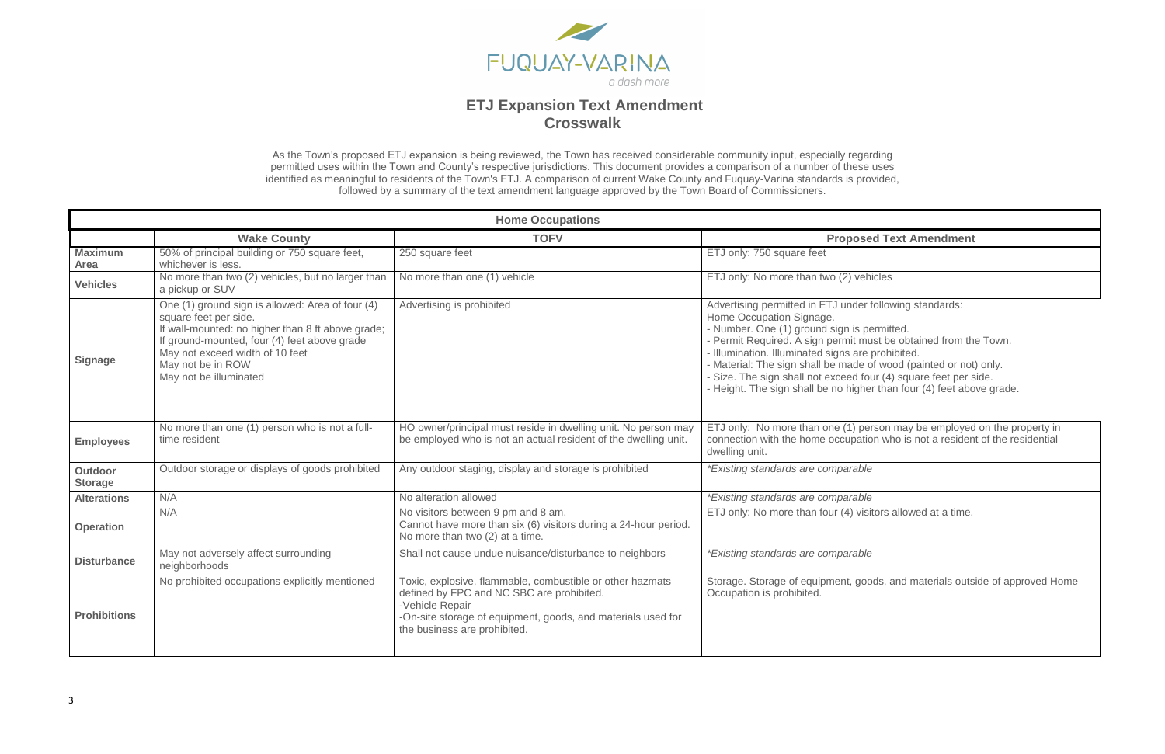

As the Town's proposed ETJ expansion is being reviewed, the Town has received considerable community input, especially regarding permitted uses within the Town and County's respective jurisdictions. This document provides a comparison of a number of these uses identified as meaningful to residents of the Town's ETJ. A comparison of current Wake County and Fuquay-Varina standards is provided, followed by a summary of the text amendment language approved by the Town Board of Commissioners.

### **Dake Text Amendment**

der following standards:

is permitted.

- must be obtained from the Town.
- are prohibited.
- de of wood (painted or not) only.
- four (4) square feet per side.
- igher than four (4) feet above grade.

) person may be employed on the property in pation who is not a resident of the residential

visitors allowed at a time.

goods, and materials outside of approved Home

|                                  |                                                                                                                                                                                                                                                                  | <b>Home Occupations</b>                                                                                                                                                                                                   |                                                                                                                                                                                                                                                                                                                                                  |
|----------------------------------|------------------------------------------------------------------------------------------------------------------------------------------------------------------------------------------------------------------------------------------------------------------|---------------------------------------------------------------------------------------------------------------------------------------------------------------------------------------------------------------------------|--------------------------------------------------------------------------------------------------------------------------------------------------------------------------------------------------------------------------------------------------------------------------------------------------------------------------------------------------|
|                                  | <b>Wake County</b>                                                                                                                                                                                                                                               | <b>TOFV</b>                                                                                                                                                                                                               | <b>Proposed To</b>                                                                                                                                                                                                                                                                                                                               |
| <b>Maximum</b><br>Area           | 50% of principal building or 750 square feet,<br>whichever is less.                                                                                                                                                                                              | 250 square feet                                                                                                                                                                                                           | ETJ only: 750 square feet                                                                                                                                                                                                                                                                                                                        |
| <b>Vehicles</b>                  | No more than two (2) vehicles, but no larger than<br>a pickup or SUV                                                                                                                                                                                             | No more than one (1) vehicle                                                                                                                                                                                              | ETJ only: No more than two (2) vehicles                                                                                                                                                                                                                                                                                                          |
| <b>Signage</b>                   | One (1) ground sign is allowed: Area of four (4)<br>square feet per side.<br>If wall-mounted: no higher than 8 ft above grade;<br>If ground-mounted, four (4) feet above grade<br>May not exceed width of 10 feet<br>May not be in ROW<br>May not be illuminated | Advertising is prohibited                                                                                                                                                                                                 | Advertising permitted in ETJ under follow<br>Home Occupation Signage.<br>- Number. One (1) ground sign is permit<br>- Permit Required. A sign permit must be<br>- Illumination. Illuminated signs are proh<br>- Material: The sign shall be made of wo<br>- Size. The sign shall not exceed four (4<br>- Height. The sign shall be no higher tha |
| <b>Employees</b>                 | No more than one (1) person who is not a full-<br>time resident                                                                                                                                                                                                  | HO owner/principal must reside in dwelling unit. No person may<br>be employed who is not an actual resident of the dwelling unit.                                                                                         | ETJ only: No more than one (1) person<br>connection with the home occupation wh<br>dwelling unit.                                                                                                                                                                                                                                                |
| <b>Outdoor</b><br><b>Storage</b> | Outdoor storage or displays of goods prohibited                                                                                                                                                                                                                  | Any outdoor staging, display and storage is prohibited                                                                                                                                                                    | <i>*Existing standards are comparable</i>                                                                                                                                                                                                                                                                                                        |
| <b>Alterations</b>               | N/A                                                                                                                                                                                                                                                              | No alteration allowed                                                                                                                                                                                                     | <i>*Existing standards are comparable</i>                                                                                                                                                                                                                                                                                                        |
| <b>Operation</b>                 | N/A                                                                                                                                                                                                                                                              | No visitors between 9 pm and 8 am.<br>Cannot have more than six (6) visitors during a 24-hour period.<br>No more than two (2) at a time.                                                                                  | ETJ only: No more than four (4) visitors                                                                                                                                                                                                                                                                                                         |
| <b>Disturbance</b>               | May not adversely affect surrounding<br>neighborhoods                                                                                                                                                                                                            | Shall not cause undue nuisance/disturbance to neighbors                                                                                                                                                                   | <i>*Existing standards are comparable</i>                                                                                                                                                                                                                                                                                                        |
| <b>Prohibitions</b>              | No prohibited occupations explicitly mentioned                                                                                                                                                                                                                   | Toxic, explosive, flammable, combustible or other hazmats<br>defined by FPC and NC SBC are prohibited.<br>-Vehicle Repair<br>-On-site storage of equipment, goods, and materials used for<br>the business are prohibited. | Storage. Storage of equipment, goods, a<br>Occupation is prohibited.                                                                                                                                                                                                                                                                             |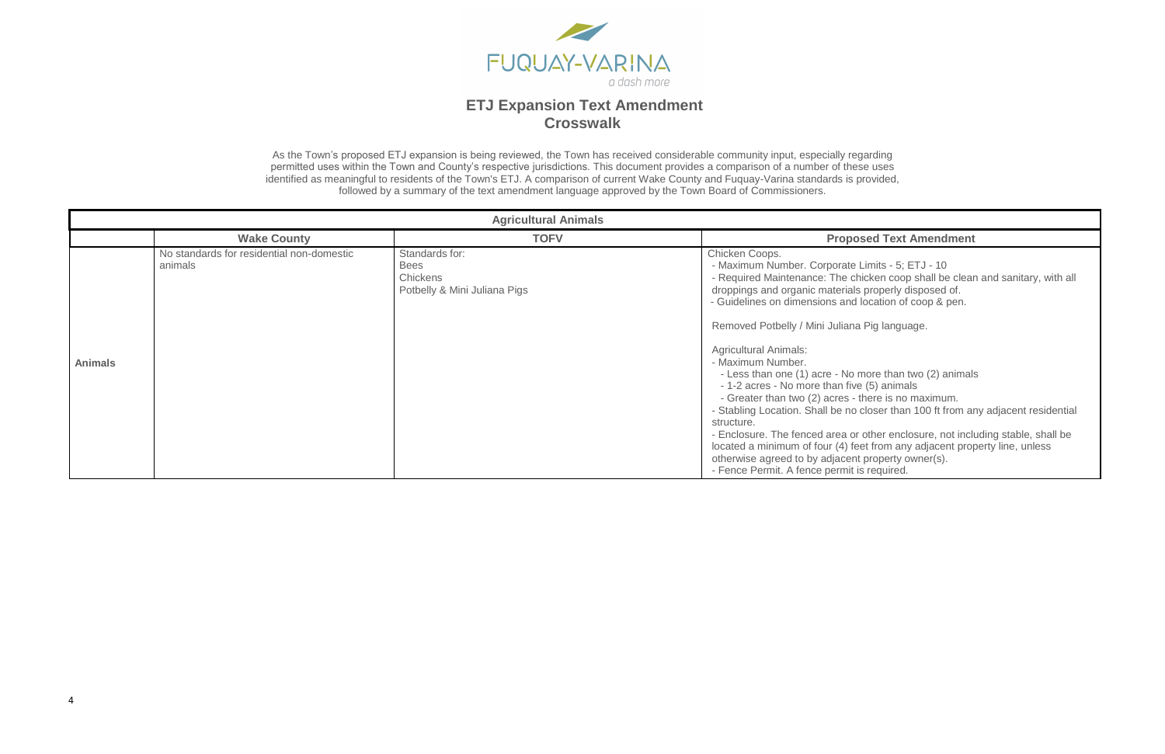

As the Town's proposed ETJ expansion is being reviewed, the Town has received considerable community input, especially regarding permitted uses within the Town and County's respective jurisdictions. This document provides a comparison of a number of these uses identified as meaningful to residents of the Town's ETJ. A comparison of current Wake County and Fuquay-Varina standards is provided, followed by a summary of the text amendment language approved by the Town Board of Commissioners.

#### **Wake Text Amendment**

Limits - 5; ETJ - 10 hicken coop shall be clean and sanitary, with all ls properly disposed of. l location of coop & pen.

na Pig language.

more than two (2) animals ve (5) animals - there is no maximum. closer than 100 ft from any adjacent residential

r other enclosure, not including stable, shall be eet from any adjacent property line, unless otherwise owner(s). is required.

|                |                                                      | <b>Agricultural Animals</b>                                                      |                                                                                                                                                                                                                                                                                                                                                                                                                                                                                                                                                |
|----------------|------------------------------------------------------|----------------------------------------------------------------------------------|------------------------------------------------------------------------------------------------------------------------------------------------------------------------------------------------------------------------------------------------------------------------------------------------------------------------------------------------------------------------------------------------------------------------------------------------------------------------------------------------------------------------------------------------|
|                | <b>Wake County</b>                                   | <b>TOFV</b>                                                                      | Propo                                                                                                                                                                                                                                                                                                                                                                                                                                                                                                                                          |
| <b>Animals</b> | No standards for residential non-domestic<br>animals | Standards for:<br><b>Bees</b><br><b>Chickens</b><br>Potbelly & Mini Juliana Pigs | Chicken Coops.<br>- Maximum Number. Corporate<br>- Required Maintenance: The cl<br>droppings and organic materials<br>- Guidelines on dimensions and<br>Removed Potbelly / Mini Juliana<br><b>Agricultural Animals:</b><br>- Maximum Number.<br>- Less than one (1) acre - No<br>- 1-2 acres - No more than fiv<br>- Greater than two (2) acres -<br>- Stabling Location. Shall be no<br>structure.<br>- Enclosure. The fenced area of<br>located a minimum of four (4) fe<br>otherwise agreed to by adjacen<br>- Fence Permit. A fence permit |